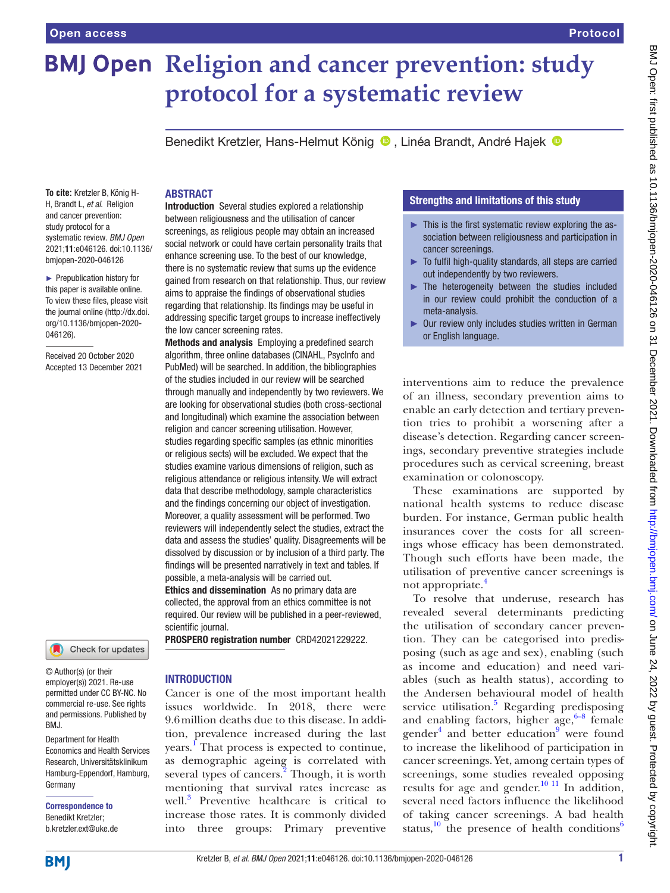# **BMJ Open Religion and cancer prevention: study protocol for a systematic review**

Benedikt Kretzler, Hans-Helmut König <sup>1</sup>. Linéa Brandt, André Hajek <sup>10</sup>

#### **ARSTRACT**

**To cite:** Kretzler B, König H-H, Brandt L, *et al*. Religion and cancer prevention: study protocol for a systematic review. *BMJ Open* 2021;11:e046126. doi:10.1136/ bmjopen-2020-046126

► Prepublication history for this paper is available online. To view these files, please visit the journal online [\(http://dx.doi.](http://dx.doi.org/10.1136/bmjopen-2020-046126) [org/10.1136/bmjopen-2020-](http://dx.doi.org/10.1136/bmjopen-2020-046126) [046126\)](http://dx.doi.org/10.1136/bmjopen-2020-046126).

Received 20 October 2020 Accepted 13 December 2021



© Author(s) (or their employer(s)) 2021. Re-use permitted under CC BY-NC. No commercial re-use. See rights and permissions. Published by BMJ.

Department for Health Economics and Health Services Research, Universitätsklinikum Hamburg-Eppendorf, Hamburg, Germany

Correspondence to Benedikt Kretzler; b.kretzler.ext@uke.de Introduction Several studies explored a relationship between religiousness and the utilisation of cancer screenings, as religious people may obtain an increased social network or could have certain personality traits that enhance screening use. To the best of our knowledge, there is no systematic review that sums up the evidence gained from research on that relationship. Thus, our review aims to appraise the findings of observational studies regarding that relationship. Its findings may be useful in addressing specific target groups to increase ineffectively the low cancer screening rates.

Methods and analysis Employing a predefined search algorithm, three online databases (CINAHL, PsycInfo and PubMed) will be searched. In addition, the bibliographies of the studies included in our review will be searched through manually and independently by two reviewers. We are looking for observational studies (both cross-sectional and longitudinal) which examine the association between religion and cancer screening utilisation. However, studies regarding specific samples (as ethnic minorities or religious sects) will be excluded. We expect that the studies examine various dimensions of religion, such as religious attendance or religious intensity. We will extract data that describe methodology, sample characteristics and the findings concerning our object of investigation. Moreover, a quality assessment will be performed. Two reviewers will independently select the studies, extract the data and assess the studies' quality. Disagreements will be dissolved by discussion or by inclusion of a third party. The findings will be presented narratively in text and tables. If possible, a meta-analysis will be carried out.

Ethics and dissemination As no primary data are collected, the approval from an ethics committee is not required. Our review will be published in a peer-reviewed, scientific journal.

PROSPERO registration number CRD42021229222.

#### **INTRODUCTION**

Cancer is one of the most important health issues worldwide. In 2018, there were 9.6million deaths due to this disease. In addition, prevalence increased during the last years.<sup>I</sup> That process is expected to continue, as demographic ageing is correlated with several types of cancers. $^2$  $^2$  Though, it is worth mentioning that survival rates increase as well.<sup>[3](#page-3-2)</sup> Preventive healthcare is critical to increase those rates. It is commonly divided into three groups: Primary preventive

### Strengths and limitations of this study

- $\blacktriangleright$  This is the first systematic review exploring the association between religiousness and participation in cancer screenings.
- $\blacktriangleright$  To fulfil high-quality standards, all steps are carried out independently by two reviewers.
- ► The heterogeneity between the studies included in our review could prohibit the conduction of a meta-analysis.
- ► Our review only includes studies written in German or English language.

interventions aim to reduce the prevalence of an illness, secondary prevention aims to enable an early detection and tertiary prevention tries to prohibit a worsening after a disease's detection. Regarding cancer screenings, secondary preventive strategies include procedures such as cervical screening, breast examination or colonoscopy.

These examinations are supported by national health systems to reduce disease burden. For instance, German public health insurances cover the costs for all screenings whose efficacy has been demonstrated. Though such efforts have been made, the utilisation of preventive cancer screenings is not appropriate.<sup>[4](#page-3-3)</sup>

To resolve that underuse, research has revealed several determinants predicting the utilisation of secondary cancer prevention. They can be categorised into predisposing (such as age and sex), enabling (such as income and education) and need variables (such as health status), according to the Andersen behavioural model of health service utilisation.<sup>5</sup> Regarding predisposing and enabling factors, higher age, $6-8$  female gender<sup>4</sup> and better education<sup>9</sup> were found to increase the likelihood of participation in cancer screenings. Yet, among certain types of screenings, some studies revealed opposing results for age and gender. $10 \text{ } 11$  In addition, several need factors influence the likelihood of taking cancer screenings. A bad health status,<sup>[10](#page-4-0)</sup> the presence of health conditions<sup>6</sup>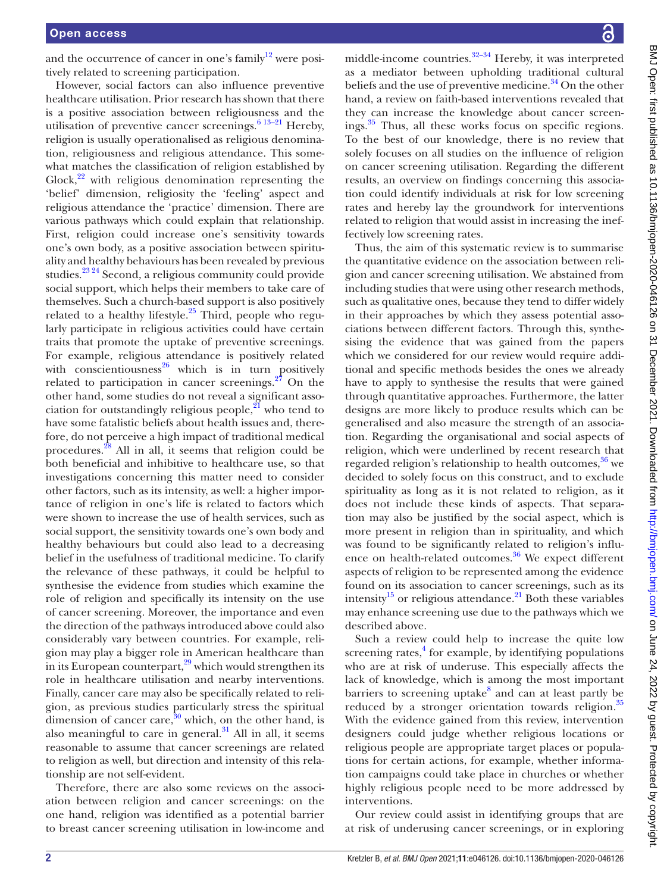and the occurrence of cancer in one's family $12$  were positively related to screening participation.

However, social factors can also influence preventive healthcare utilisation. Prior research has shown that there is a positive association between religiousness and the utilisation of preventive cancer screenings. $613-21$  Hereby, religion is usually operationalised as religious denomination, religiousness and religious attendance. This somewhat matches the classification of religion established by  $Glock<sub>1</sub><sup>22</sup>$  with religious denomination representing the 'belief' dimension, religiosity the 'feeling' aspect and religious attendance the 'practice' dimension. There are various pathways which could explain that relationship. First, religion could increase one's sensitivity towards one's own body, as a positive association between spirituality and healthy behaviours has been revealed by previous studies.[23 24](#page-4-3) Second, a religious community could provide social support, which helps their members to take care of themselves. Such a church-based support is also positively related to a healthy lifestyle.<sup>[25](#page-4-4)</sup> Third, people who regularly participate in religious activities could have certain traits that promote the uptake of preventive screenings. For example, religious attendance is positively related with conscientiousness<sup>26</sup> which is in turn positively related to participation in cancer screenings. $27$  On the other hand, some studies do not reveal a significant association for outstandingly religious people, $^{21}$  who tend to have some fatalistic beliefs about health issues and, therefore, do not perceive a high impact of traditional medical procedures[.28](#page-4-8) All in all, it seems that religion could be both beneficial and inhibitive to healthcare use, so that investigations concerning this matter need to consider other factors, such as its intensity, as well: a higher importance of religion in one's life is related to factors which were shown to increase the use of health services, such as social support, the sensitivity towards one's own body and healthy behaviours but could also lead to a decreasing belief in the usefulness of traditional medicine. To clarify the relevance of these pathways, it could be helpful to synthesise the evidence from studies which examine the role of religion and specifically its intensity on the use of cancer screening. Moreover, the importance and even the direction of the pathways introduced above could also considerably vary between countries. For example, religion may play a bigger role in American healthcare than in its European counterpart, $29$  which would strengthen its role in healthcare utilisation and nearby interventions. Finally, cancer care may also be specifically related to religion, as previous studies particularly stress the spiritual dimension of cancer care,  $\frac{30}{30}$  $\frac{30}{30}$  $\frac{30}{30}$  which, on the other hand, is also meaningful to care in general. $31$  All in all, it seems reasonable to assume that cancer screenings are related to religion as well, but direction and intensity of this relationship are not self-evident.

Therefore, there are also some reviews on the association between religion and cancer screenings: on the one hand, religion was identified as a potential barrier to breast cancer screening utilisation in low-income and

middle-income countries. $32-34$  Hereby, it was interpreted as a mediator between upholding traditional cultural beliefs and the use of preventive medicine.<sup>[34](#page-4-13)</sup> On the other hand, a review on faith-based interventions revealed that they can increase the knowledge about cancer screenings.[35](#page-4-14) Thus, all these works focus on specific regions. To the best of our knowledge, there is no review that solely focuses on all studies on the influence of religion on cancer screening utilisation. Regarding the different results, an overview on findings concerning this association could identify individuals at risk for low screening rates and hereby lay the groundwork for interventions related to religion that would assist in increasing the ineffectively low screening rates.

Thus, the aim of this systematic review is to summarise the quantitative evidence on the association between religion and cancer screening utilisation. We abstained from including studies that were using other research methods, such as qualitative ones, because they tend to differ widely in their approaches by which they assess potential associations between different factors. Through this, synthesising the evidence that was gained from the papers which we considered for our review would require additional and specific methods besides the ones we already have to apply to synthesise the results that were gained through quantitative approaches. Furthermore, the latter designs are more likely to produce results which can be generalised and also measure the strength of an association. Regarding the organisational and social aspects of religion, which were underlined by recent research that regarded religion's relationship to health outcomes, $36$  we decided to solely focus on this construct, and to exclude spirituality as long as it is not related to religion, as it does not include these kinds of aspects. That separation may also be justified by the social aspect, which is more present in religion than in spirituality, and which was found to be significantly related to religion's influence on health-related outcomes.<sup>36</sup> We expect different aspects of religion to be represented among the evidence found on its association to cancer screenings, such as its intensity<sup>15</sup> or religious attendance.<sup>[21](#page-4-7)</sup> Both these variables may enhance screening use due to the pathways which we described above.

Such a review could help to increase the quite low screening rates,<sup>[4](#page-3-3)</sup> for example, by identifying populations who are at risk of underuse. This especially affects the lack of knowledge, which is among the most important barriers to screening uptake $8$  and can at least partly be reduced by a stronger orientation towards religion.<sup>[35](#page-4-14)</sup> With the evidence gained from this review, intervention designers could judge whether religious locations or religious people are appropriate target places or populations for certain actions, for example, whether information campaigns could take place in churches or whether highly religious people need to be more addressed by interventions.

Our review could assist in identifying groups that are at risk of underusing cancer screenings, or in exploring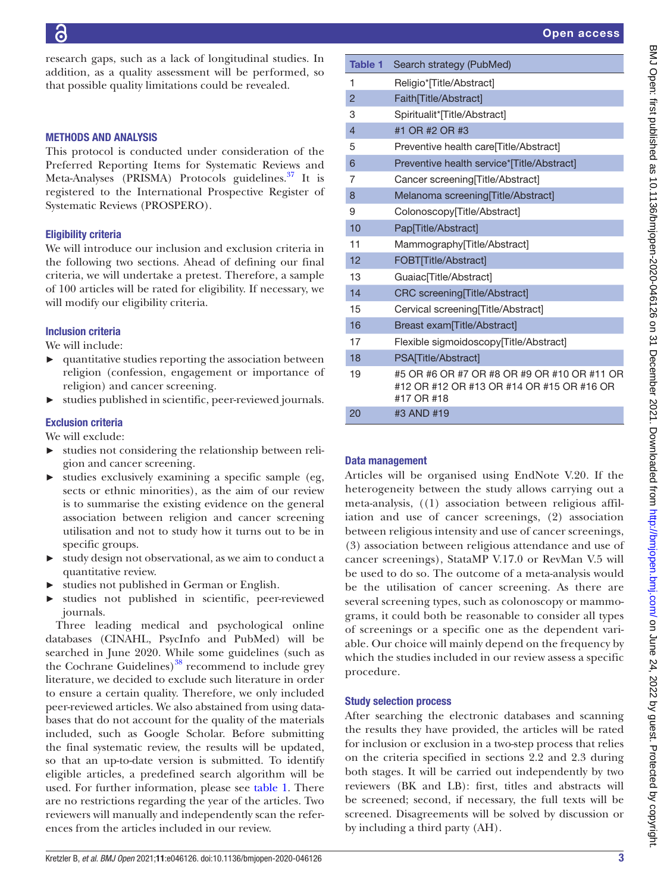research gaps, such as a lack of longitudinal studies. In addition, as a quality assessment will be performed, so that possible quality limitations could be revealed.

### METHODS AND ANALYSIS

This protocol is conducted under consideration of the Preferred Reporting Items for Systematic Reviews and Meta-Analyses (PRISMA) Protocols guidelines.<sup>37</sup> It is registered to the International Prospective Register of Systematic Reviews (PROSPERO).

#### Eligibility criteria

We will introduce our inclusion and exclusion criteria in the following two sections. Ahead of defining our final criteria, we will undertake a pretest. Therefore, a sample of 100 articles will be rated for eligibility. If necessary, we will modify our eligibility criteria.

#### Inclusion criteria

We will include:

- $\blacktriangleright$  quantitative studies reporting the association between religion (confession, engagement or importance of religion) and cancer screening.
- ► studies published in scientific, peer-reviewed journals.

## Exclusion criteria

We will exclude:

- studies not considering the relationship between religion and cancer screening.
- studies exclusively examining a specific sample (eg, sects or ethnic minorities), as the aim of our review is to summarise the existing evidence on the general association between religion and cancer screening utilisation and not to study how it turns out to be in specific groups.
- study design not observational, as we aim to conduct a quantitative review.
- studies not published in German or English.
- studies not published in scientific, peer-reviewed journals.

Three leading medical and psychological online databases (CINAHL, PsycInfo and PubMed) will be searched in June 2020. While some guidelines (such as the Cochrane Guidelines) $38$  recommend to include grey literature, we decided to exclude such literature in order to ensure a certain quality. Therefore, we only included peer-reviewed articles. We also abstained from using databases that do not account for the quality of the materials included, such as Google Scholar. Before submitting the final systematic review, the results will be updated, so that an up-to-date version is submitted. To identify eligible articles, a predefined search algorithm will be used. For further information, please see [table](#page-2-0) 1. There are no restrictions regarding the year of the articles. Two reviewers will manually and independently scan the references from the articles included in our review.

<span id="page-2-0"></span>

| <b>Table 1</b> | Search strategy (PubMed)                                                                               |
|----------------|--------------------------------------------------------------------------------------------------------|
| 1              | Religio* <sub>[Title</sub> /Abstract]                                                                  |
| $\overline{2}$ | Faith[Title/Abstract]                                                                                  |
| З              | Spiritualit*[Title/Abstract]                                                                           |
| $\overline{4}$ | #1 OR #2 OR #3                                                                                         |
| 5              | Preventive health care [Title/Abstract]                                                                |
| 6              | Preventive health service*[Title/Abstract]                                                             |
| 7              | Cancer screening[Title/Abstract]                                                                       |
| 8              | Melanoma screening[Title/Abstract]                                                                     |
| 9              | Colonoscopy Title/Abstract]                                                                            |
| 10             | Pap[Title/Abstract]                                                                                    |
| 11             | Mammography Title/Abstract]                                                                            |
| 12             | FOBT[Title/Abstract]                                                                                   |
| 13             | Guaiac <sub>[Title</sub> /Abstract]                                                                    |
| 14             | CRC screening[Title/Abstract]                                                                          |
| 15             | Cervical screening[Title/Abstract]                                                                     |
| 16             | Breast exam <sub>[Title/Abstract]</sub>                                                                |
| 17             | Flexible sigmoidoscopy [Title/Abstract]                                                                |
| 18             | PSA <sub>[Title</sub> /Abstract]                                                                       |
| 19             | #5 OR #6 OR #7 OR #8 OR #9 OR #10 OR #11 OR<br>#12 OR #12 OR #13 OR #14 OR #15 OR #16 OR<br>#17 OR #18 |
| 20             | #3 AND #19                                                                                             |

# Data management

Articles will be organised using EndNote V.20. If the heterogeneity between the study allows carrying out a meta-analysis, ((1) association between religious affiliation and use of cancer screenings, (2) association between religious intensity and use of cancer screenings, (3) association between religious attendance and use of cancer screenings), StataMP V.17.0 or RevMan V.5 will be used to do so. The outcome of a meta-analysis would be the utilisation of cancer screening. As there are several screening types, such as colonoscopy or mammograms, it could both be reasonable to consider all types of screenings or a specific one as the dependent variable. Our choice will mainly depend on the frequency by which the studies included in our review assess a specific procedure.

#### Study selection process

After searching the electronic databases and scanning the results they have provided, the articles will be rated for inclusion or exclusion in a two-step process that relies on the criteria specified in sections 2.2 and 2.3 during both stages. It will be carried out independently by two reviewers (BK and LB): first, titles and abstracts will be screened; second, if necessary, the full texts will be screened. Disagreements will be solved by discussion or by including a third party (AH).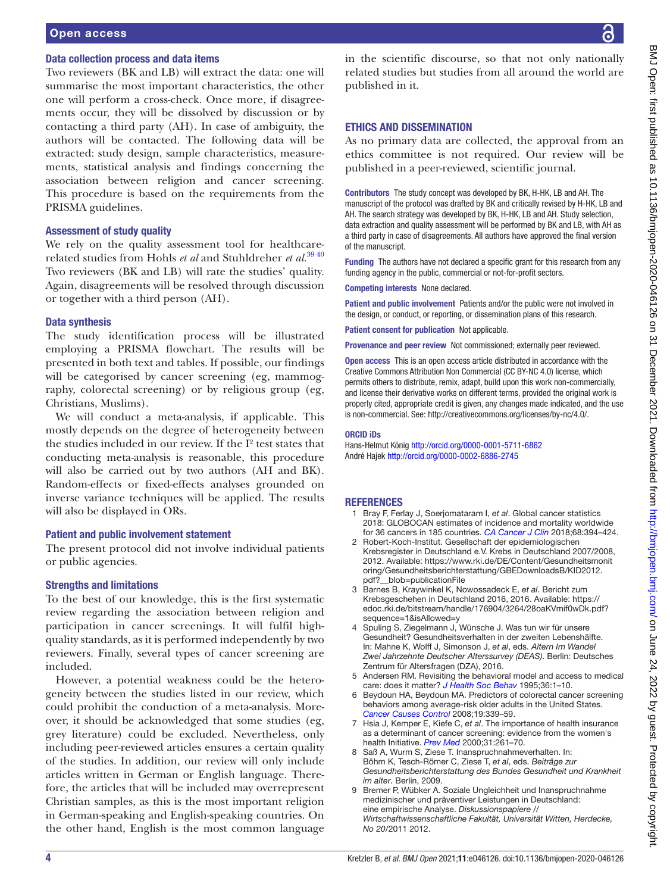#### Open access

#### Data collection process and data items

Two reviewers (BK and LB) will extract the data: one will summarise the most important characteristics, the other one will perform a cross-check. Once more, if disagreements occur, they will be dissolved by discussion or by contacting a third party (AH). In case of ambiguity, the authors will be contacted. The following data will be extracted: study design, sample characteristics, measurements, statistical analysis and findings concerning the association between religion and cancer screening. This procedure is based on the requirements from the PRISMA guidelines.

#### Assessment of study quality

We rely on the quality assessment tool for healthcarerelated studies from Hohls *et al* and Stuhldreher *et al*. [39 40](#page-4-19) Two reviewers (BK and LB) will rate the studies' quality. Again, disagreements will be resolved through discussion or together with a third person (AH).

#### Data synthesis

The study identification process will be illustrated employing a PRISMA flowchart. The results will be presented in both text and tables. If possible, our findings will be categorised by cancer screening (eg, mammography, colorectal screening) or by religious group (eg, Christians, Muslims).

We will conduct a meta-analysis, if applicable. This mostly depends on the degree of heterogeneity between the studies included in our review. If the I² test states that conducting meta-analysis is reasonable, this procedure will also be carried out by two authors (AH and BK). Random-effects or fixed-effects analyses grounded on inverse variance techniques will be applied. The results will also be displayed in ORs.

#### Patient and public involvement statement

The present protocol did not involve individual patients or public agencies.

#### Strengths and limitations

To the best of our knowledge, this is the first systematic review regarding the association between religion and participation in cancer screenings. It will fulfil highquality standards, as it is performed independently by two reviewers. Finally, several types of cancer screening are included.

However, a potential weakness could be the heterogeneity between the studies listed in our review, which could prohibit the conduction of a meta-analysis. Moreover, it should be acknowledged that some studies (eg, grey literature) could be excluded. Nevertheless, only including peer-reviewed articles ensures a certain quality of the studies. In addition, our review will only include articles written in German or English language. Therefore, the articles that will be included may overrepresent Christian samples, as this is the most important religion in German-speaking and English-speaking countries. On the other hand, English is the most common language

in the scientific discourse, so that not only nationally related studies but studies from all around the world are published in it.

#### ETHICS AND DISSEMINATION

As no primary data are collected, the approval from an ethics committee is not required. Our review will be published in a peer-reviewed, scientific journal.

Contributors The study concept was developed by BK, H-HK, LB and AH. The manuscript of the protocol was drafted by BK and critically revised by H-HK, LB and AH. The search strategy was developed by BK, H-HK, LB and AH. Study selection, data extraction and quality assessment will be performed by BK and LB, with AH as a third party in case of disagreements. All authors have approved the final version of the manuscript.

**Funding** The authors have not declared a specific grant for this research from any funding agency in the public, commercial or not-for-profit sectors.

Competing interests None declared.

Patient and public involvement Patients and/or the public were not involved in the design, or conduct, or reporting, or dissemination plans of this research.

Patient consent for publication Not applicable.

Provenance and peer review Not commissioned; externally peer reviewed.

Open access This is an open access article distributed in accordance with the Creative Commons Attribution Non Commercial (CC BY-NC 4.0) license, which permits others to distribute, remix, adapt, build upon this work non-commercially, and license their derivative works on different terms, provided the original work is properly cited, appropriate credit is given, any changes made indicated, and the use is non-commercial. See: [http://creativecommons.org/licenses/by-nc/4.0/.](http://creativecommons.org/licenses/by-nc/4.0/)

#### ORCID iDs

Hans-Helmut König <http://orcid.org/0000-0001-5711-6862> André Hajek <http://orcid.org/0000-0002-6886-2745>

#### **REFERENCES**

- <span id="page-3-0"></span>1 Bray F, Ferlay J, Soerjomataram I, *et al*. Global cancer statistics 2018: GLOBOCAN estimates of incidence and mortality worldwide for 36 cancers in 185 countries. *[CA Cancer J Clin](http://dx.doi.org/10.3322/caac.21492)* 2018;68:394–424.
- <span id="page-3-1"></span>2 Robert-Koch-Institut. Gesellschaft der epidemiologischen Krebsregister in Deutschland e.V. Krebs in Deutschland 2007/2008, 2012. Available: [https://www.rki.de/DE/Content/Gesundheitsmonit](https://www.rki.de/DE/Content/Gesundheitsmonitoring/Gesundheitsberichterstattung/GBEDownloadsB/KID2012.pdf?__blob=publicationFile) [oring/Gesundheitsberichterstattung/GBEDownloadsB/KID2012.](https://www.rki.de/DE/Content/Gesundheitsmonitoring/Gesundheitsberichterstattung/GBEDownloadsB/KID2012.pdf?__blob=publicationFile) [pdf?\\_\\_blob=publicationFile](https://www.rki.de/DE/Content/Gesundheitsmonitoring/Gesundheitsberichterstattung/GBEDownloadsB/KID2012.pdf?__blob=publicationFile)
- <span id="page-3-2"></span>3 Barnes B, Kraywinkel K, Nowossadeck E, *et al*. Bericht zum Krebsgeschehen in Deutschland 2016, 2016. Available: [https://](https://edoc.rki.de/bitstream/handle/176904/3264/28oaKVmif0wDk.pdf?sequence=1&isAllowed=y) [edoc.rki.de/bitstream/handle/176904/3264/28oaKVmif0wDk.pdf?](https://edoc.rki.de/bitstream/handle/176904/3264/28oaKVmif0wDk.pdf?sequence=1&isAllowed=y) [sequence=1&isAllowed=y](https://edoc.rki.de/bitstream/handle/176904/3264/28oaKVmif0wDk.pdf?sequence=1&isAllowed=y)
- <span id="page-3-3"></span>4 Spuling S, Ziegelmann J, Wünsche J. Was tun wir für unsere Gesundheit? Gesundheitsverhalten in der zweiten Lebenshälfte. In: Mahne K, Wolff J, Simonson J, *et al*, eds. *Altern Im Wandel Zwei Jahrzehnte Deutscher Alterssurvey (DEAS)*. Berlin: Deutsches Zentrum für Altersfragen (DZA), 2016.
- <span id="page-3-4"></span>5 Andersen RM. Revisiting the behavioral model and access to medical care: does it matter? *[J Health Soc Behav](http://dx.doi.org/10.2307/2137284)* 1995;36:1–10.
- <span id="page-3-5"></span>6 Beydoun HA, Beydoun MA. Predictors of colorectal cancer screening behaviors among average-risk older adults in the United States. *[Cancer Causes Control](http://dx.doi.org/10.1007/s10552-007-9100-y)* 2008;19:339–59.
- 7 Hsia J, Kemper E, Kiefe C, *et al*. The importance of health insurance as a determinant of cancer screening: evidence from the women's health Initiative. *[Prev Med](http://dx.doi.org/10.1006/pmed.2000.0697)* 2000;31:261–70.
- <span id="page-3-7"></span>8 Saß A, Wurm S, Ziese T. Inanspruchnahmeverhalten. In: Böhm K, Tesch-Römer C, Ziese T, *et al*, eds. *Beiträge zur Gesundheitsberichterstattung des Bundes Gesundheit und Krankheit im alter*. Berlin, 2009.
- <span id="page-3-6"></span>Bremer P, Wübker A. Soziale Ungleichheit und Inanspruchnahme medizinischer und präventiver Leistungen in Deutschland: eine empirische Analyse. *Diskussionspapiere // Wirtschaftwissenschaftliche Fakultät, Universität Witten, Herdecke, No 20/*2011 2012.